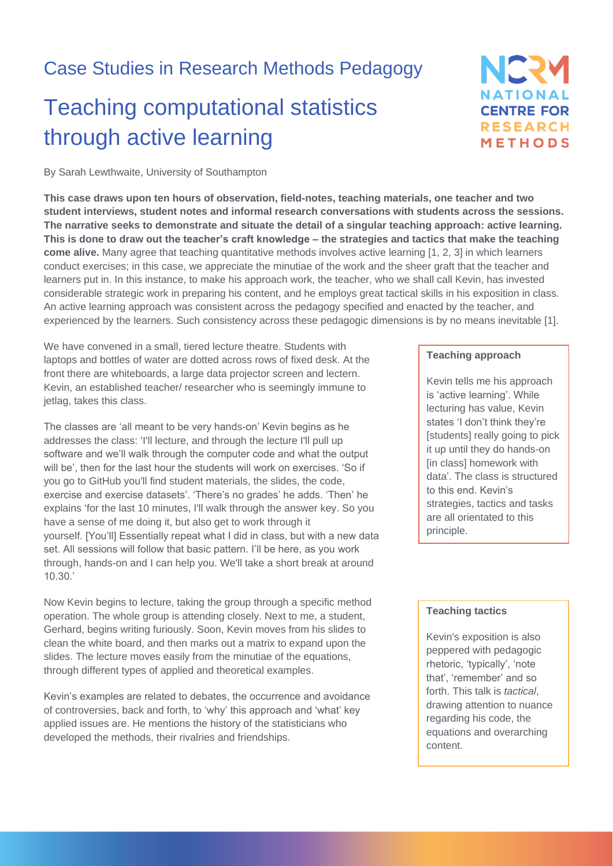## Case Studies in Research Methods Pedagogy

# Teaching computational statistics through active learning

NERY **NATIONAL CENTRE FOR RESEARCH** METHODS

By Sarah Lewthwaite, University of Southampton

**This case draws upon ten hours of observation, field-notes, teaching materials, one teacher and two student interviews, student notes and informal research conversations with students across the sessions. The narrative seeks to demonstrate and situate the detail of a singular teaching approach: active learning. This is done to draw out the teacher's craft knowledge – the strategies and tactics that make the teaching come alive.** Many agree that teaching quantitative methods involves active learning [1, 2, 3] in which learners conduct exercises; in this case, we appreciate the minutiae of the work and the sheer graft that the teacher and learners put in. In this instance, to make his approach work, the teacher, who we shall call Kevin, has invested considerable strategic work in preparing his content, and he employs great tactical skills in his exposition in class. An active learning approach was consistent across the pedagogy specified and enacted by the teacher, and experienced by the learners. Such consistency across these pedagogic dimensions is by no means inevitable [1].

We have convened in a small, tiered lecture theatre. Students with laptops and bottles of water are dotted across rows of fixed desk. At the front there are whiteboards, a large data projector screen and lectern. Kevin, an established teacher/ researcher who is seemingly immune to jetlag, takes this class.

The classes are 'all meant to be very hands-on' Kevin begins as he addresses the class: 'I'll lecture, and through the lecture I'll pull up software and we'll walk through the computer code and what the output will be', then for the last hour the students will work on exercises. 'So if you go to GitHub you'll find student materials, the slides, the code, exercise and exercise datasets'. 'There's no grades' he adds. 'Then' he explains 'for the last 10 minutes, I'll walk through the answer key. So you have a sense of me doing it, but also get to work through it yourself. [You'll] Essentially repeat what I did in class, but with a new data set. All sessions will follow that basic pattern. I'll be here, as you work through, hands-on and I can help you. We'll take a short break at around 10.30.'

Now Kevin begins to lecture, taking the group through a specific method operation. The whole group is attending closely. Next to me, a student, Gerhard, begins writing furiously. Soon, Kevin moves from his slides to clean the white board, and then marks out a matrix to expand upon the slides. The lecture moves easily from the minutiae of the equations, through different types of applied and theoretical examples.

Kevin's examples are related to debates, the occurrence and avoidance of controversies, back and forth, to 'why' this approach and 'what' key applied issues are. He mentions the history of the statisticians who developed the methods, their rivalries and friendships.

#### **Teaching approach**

Kevin tells me his approach is 'active learning'. While lecturing has value, Kevin states 'I don't think they're [students] really going to pick it up until they do hands-on [in class] homework with data'. The class is structured to this end. Kevin's strategies, tactics and tasks are all orientated to this principle.

#### **Teaching tactics**

Kevin's exposition is also peppered with pedagogic rhetoric, 'typically', 'note that', 'remember' and so forth. This talk is *tactical*, drawing attention to nuance regarding his code, the equations and overarching content.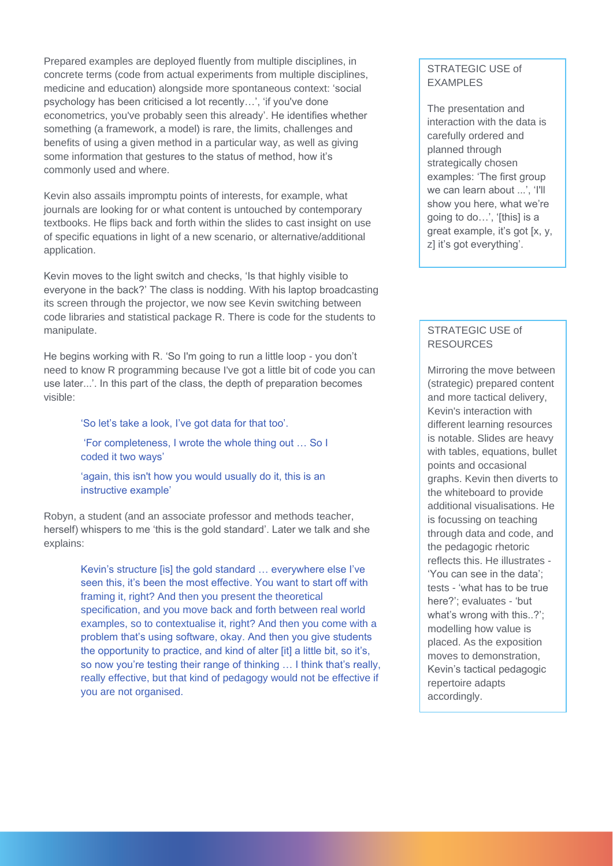Prepared examples are deployed fluently from multiple disciplines, in concrete terms (code from actual experiments from multiple disciplines, medicine and education) alongside more spontaneous context: 'social psychology has been criticised a lot recently…', 'if you've done econometrics, you've probably seen this already'. He identifies whether something (a framework, a model) is rare, the limits, challenges and benefits of using a given method in a particular way, as well as giving some information that gestures to the status of method, how it's commonly used and where.

Kevin also assails impromptu points of interests, for example, what journals are looking for or what content is untouched by contemporary textbooks. He flips back and forth within the slides to cast insight on use of specific equations in light of a new scenario, or alternative/additional application.

Kevin moves to the light switch and checks, 'Is that highly visible to everyone in the back?' The class is nodding. With his laptop broadcasting its screen through the projector, we now see Kevin switching between code libraries and statistical package R. There is code for the students to manipulate.

He begins working with R. 'So I'm going to run a little loop - you don't need to know R programming because I've got a little bit of code you can use later...'. In this part of the class, the depth of preparation becomes visible:

'So let's take a look, I've got data for that too'.

'For completeness, I wrote the whole thing out … So I coded it two ways'

'again, this isn't how you would usually do it, this is an instructive example'

Robyn, a student (and an associate professor and methods teacher, herself) whispers to me 'this is the gold standard'. Later we talk and she explains:

> Kevin's structure [is] the gold standard … everywhere else I've seen this, it's been the most effective. You want to start off with framing it, right? And then you present the theoretical specification, and you move back and forth between real world examples, so to contextualise it, right? And then you come with a problem that's using software, okay. And then you give students the opportunity to practice, and kind of alter [it] a little bit, so it's, so now you're testing their range of thinking ... I think that's really, really effective, but that kind of pedagogy would not be effective if you are not organised.

#### STRATEGIC USE of EXAMPLES

The presentation and interaction with the data is carefully ordered and planned through strategically chosen examples: 'The first group we can learn about ...', 'I'll show you here, what we're going to do…', '[this] is a great example, it's got [x, y, z] it's got everything'.

#### STRATEGIC USE of RESOURCES

Mirroring the move between (strategic) prepared content and more tactical delivery, Kevin's interaction with different learning resources is notable. Slides are heavy with tables, equations, bullet points and occasional graphs. Kevin then diverts to the whiteboard to provide additional visualisations. He is focussing on teaching through data and code, and the pedagogic rhetoric reflects this. He illustrates - 'You can see in the data'; tests - 'what has to be true here?'; evaluates - 'but what's wrong with this..?'; modelling how value is placed. As the exposition moves to demonstration, Kevin's tactical pedagogic repertoire adapts accordingly.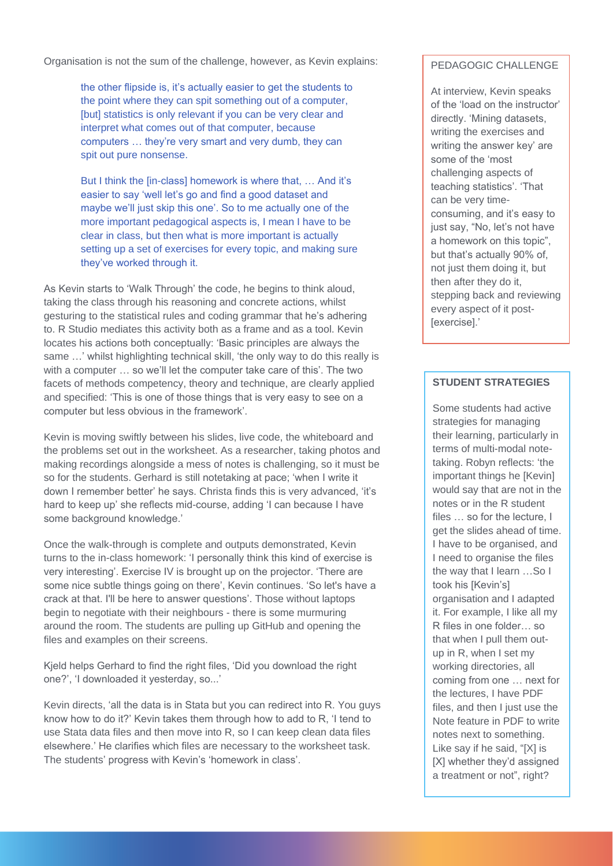Organisation is not the sum of the challenge, however, as Kevin explains:

the other flipside is, it's actually easier to get the students to the point where they can spit something out of a computer, [but] statistics is only relevant if you can be very clear and interpret what comes out of that computer, because computers … they're very smart and very dumb, they can spit out pure nonsense.

But I think the [in-class] homework is where that, … And it's easier to say 'well let's go and find a good dataset and maybe we'll just skip this one'. So to me actually one of the more important pedagogical aspects is, I mean I have to be clear in class, but then what is more important is actually setting up a set of exercises for every topic, and making sure they've worked through it.

As Kevin starts to 'Walk Through' the code, he begins to think aloud, taking the class through his reasoning and concrete actions, whilst gesturing to the statistical rules and coding grammar that he's adhering to. R Studio mediates this activity both as a frame and as a tool. Kevin locates his actions both conceptually: 'Basic principles are always the same …' whilst highlighting technical skill, 'the only way to do this really is with a computer … so we'll let the computer take care of this'. The two facets of methods competency, theory and technique, are clearly applied and specified: 'This is one of those things that is very easy to see on a computer but less obvious in the framework'.

Kevin is moving swiftly between his slides, live code, the whiteboard and the problems set out in the worksheet. As a researcher, taking photos and making recordings alongside a mess of notes is challenging, so it must be so for the students. Gerhard is still notetaking at pace; 'when I write it down I remember better' he says. Christa finds this is very advanced, 'it's hard to keep up' she reflects mid-course, adding 'I can because I have some background knowledge.'

Once the walk-through is complete and outputs demonstrated, Kevin turns to the in-class homework: 'I personally think this kind of exercise is very interesting'. Exercise IV is brought up on the projector. 'There are some nice subtle things going on there', Kevin continues. 'So let's have a crack at that. I'll be here to answer questions'. Those without laptops begin to negotiate with their neighbours - there is some murmuring around the room. The students are pulling up GitHub and opening the files and examples on their screens.

Kjeld helps Gerhard to find the right files, 'Did you download the right one?', 'I downloaded it yesterday, so...'

Kevin directs, 'all the data is in Stata but you can redirect into R. You guys know how to do it?' Kevin takes them through how to add to R, 'I tend to use Stata data files and then move into R, so I can keep clean data files elsewhere.' He clarifies which files are necessary to the worksheet task. The students' progress with Kevin's 'homework in class'.

#### PEDAGOGIC CHALLENGE

At interview, Kevin speaks of the 'load on the instructor' directly. 'Mining datasets, writing the exercises and writing the answer key' are some of the 'most challenging aspects of teaching statistics'. 'That can be very timeconsuming, and it's easy to just say, "No, let's not have a homework on this topic", but that's actually 90% of, not just them doing it, but then after they do it, stepping back and reviewing every aspect of it post- [exercise].'

#### **STUDENT STRATEGIES**

Some students had active strategies for managing their learning, particularly in terms of multi-modal notetaking. Robyn reflects: 'the important things he [Kevin] would say that are not in the notes or in the R student files ... so for the lecture. I get the slides ahead of time. I have to be organised, and I need to organise the files the way that I learn …So I took his [Kevin's] organisation and I adapted it. For example, I like all my R files in one folder… so that when I pull them outup in R, when I set my working directories, all coming from one … next for the lectures, I have PDF files, and then I just use the Note feature in PDF to write notes next to something. Like say if he said, "[X] is [X] whether they'd assigned a treatment or not", right?